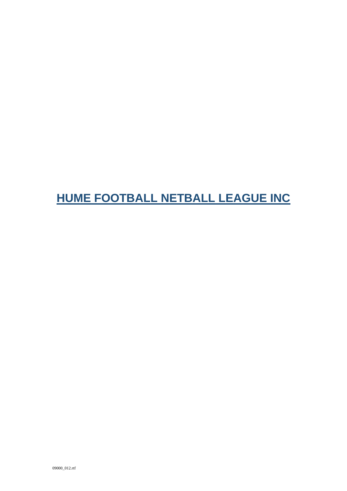# HUME FOOTBALL NETBALL LEAGUE INC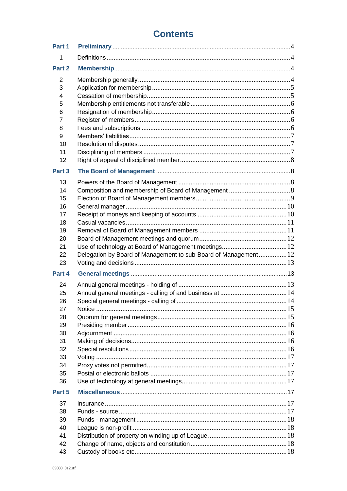# **Contents**

| Part 1 |                                                                |  |
|--------|----------------------------------------------------------------|--|
| 1      |                                                                |  |
| Part 2 |                                                                |  |
| 2      |                                                                |  |
| 3      |                                                                |  |
| 4      |                                                                |  |
| 5      |                                                                |  |
|        |                                                                |  |
| 6      |                                                                |  |
| 7      |                                                                |  |
| 8      |                                                                |  |
| 9      |                                                                |  |
| 10     |                                                                |  |
| 11     |                                                                |  |
| 12     |                                                                |  |
| Part 3 |                                                                |  |
| 13     |                                                                |  |
| 14     |                                                                |  |
| 15     |                                                                |  |
| 16     |                                                                |  |
| 17     |                                                                |  |
| 18     |                                                                |  |
| 19     |                                                                |  |
| 20     |                                                                |  |
| 21     |                                                                |  |
| 22     | Delegation by Board of Management to sub-Board of Management12 |  |
| 23     |                                                                |  |
| Part 4 |                                                                |  |
| 24     |                                                                |  |
| 25     |                                                                |  |
|        |                                                                |  |
| 26     |                                                                |  |
| 27     |                                                                |  |
| 28     |                                                                |  |
| 29     |                                                                |  |
| 30     |                                                                |  |
| 31     |                                                                |  |
| 32     |                                                                |  |
| 33     |                                                                |  |
| 34     |                                                                |  |
| 35     |                                                                |  |
| 36     |                                                                |  |
|        |                                                                |  |
| Part 5 |                                                                |  |
| 37     |                                                                |  |
| 38     |                                                                |  |
| 39     |                                                                |  |
| 40     |                                                                |  |
| 41     |                                                                |  |
| 42     |                                                                |  |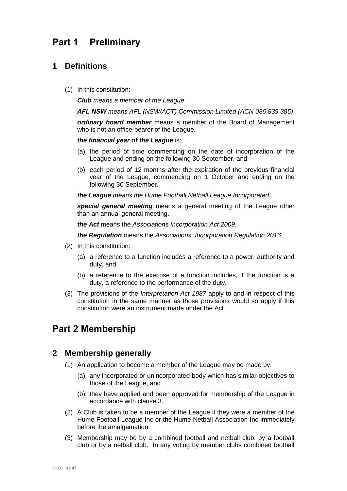# <span id="page-3-0"></span>**Part 1 Preliminary**

# <span id="page-3-1"></span>**1 Definitions**

(1) In this constitution:

*Club means a member of the League*

*AFL NSW means AFL (NSW/ACT) Commission Limited (ACN 086 839 385)*

*ordinary board member* means a member of the Board of Management who is not an office-bearer of the League.

#### *the financial year of the League* is:

- (a) the period of time commencing on the date of incorporation of the League and ending on the following 30 September, and
- (b) each period of 12 months after the expiration of the previous financial year of the League, commencing on 1 October and ending on the following 30 September.

*the League means the Hume Football Netball League Incorporated.*

*special general meeting* means a general meeting of the League other than an annual general meeting.

*the Act* means the *[Associations Incorporation Act 2009](http://www.legislation.nsw.gov.au/xref/inforce/?xref=Type%3Dact%20AND%20Year%3D2009%20AND%20no%3D7&nohits=y)*.

*the Regulation* means the *[Associations Incorporation Regulation 2016.](http://www.legislation.nsw.gov.au/xref/inforce/?xref=Type%3Dsubordleg%20AND%20Year%3D2010%20AND%20No%3D238&nohits=y)*

- (2) In this constitution:
	- (a) a reference to a function includes a reference to a power, authority and duty, and
	- (b) a reference to the exercise of a function includes, if the function is a duty, a reference to the performance of the duty.
- (3) The provisions of the *[Interpretation Act 1987](http://www.legislation.nsw.gov.au/xref/inforce/?xref=Type%3Dact%20AND%20Year%3D1987%20AND%20no%3D15&nohits=y)* apply to and in respect of this constitution in the same manner as those provisions would so apply if this constitution were an instrument made under the Act.

# <span id="page-3-2"></span>**Part 2 Membership**

# <span id="page-3-3"></span>**2 Membership generally**

- (1) An application to become a member of the League may be made by:
	- (a) any incorporated or unincorporated body which has similar objectives to those of the League, and
	- (b) they have applied and been approved for membership of the League in accordance with clause 3.
- (2) A Club is taken to be a member of the League if they were a member of the Hume Football League Inc or the Hume Netball Association Inc immediately before the amalgamation.
- (3) Membership may be by a combined football and netball club, by a football club or by a netball club. In any voting by member clubs combined football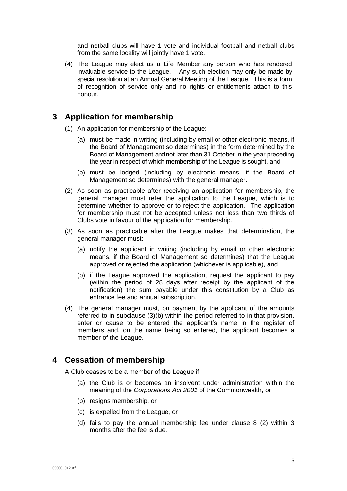and netball clubs will have 1 vote and individual football and netball clubs from the same locality will jointly have 1 vote.

(4) The League may elect as a Life Member any person who has rendered invaluable service to the League. Any such election may only be made by special resolution at an Annual General Meeting of the League. This is a form of recognition of service only and no rights or entitlements attach to this honour.

### <span id="page-4-0"></span>**3 Application for membership**

- (1) An application for membership of the League:
	- (a) must be made in writing (including by email or other electronic means, if the Board of Management so determines) in the form determined by the Board of Management and not later than 31 October in the year preceding the year in respect of which membership of the League is sought, and
	- (b) must be lodged (including by electronic means, if the Board of Management so determines) with the general manager.
- (2) As soon as practicable after receiving an application for membership, the general manager must refer the application to the League, which is to determine whether to approve or to reject the application. The application for membership must not be accepted unless not less than two thirds of Clubs vote in favour of the application for membership.
- (3) As soon as practicable after the League makes that determination, the general manager must:
	- (a) notify the applicant in writing (including by email or other electronic means, if the Board of Management so determines) that the League approved or rejected the application (whichever is applicable), and
	- (b) if the League approved the application, request the applicant to pay (within the period of 28 days after receipt by the applicant of the notification) the sum payable under this constitution by a Club as entrance fee and annual subscription.
- (4) The general manager must, on payment by the applicant of the amounts referred to in subclause (3)(b) within the period referred to in that provision, enter or cause to be entered the applicant's name in the register of members and, on the name being so entered, the applicant becomes a member of the League.

# <span id="page-4-1"></span>**4 Cessation of membership**

A Club ceases to be a member of the League if:

- (a) the Club is or becomes an insolvent under administration within the meaning of the *[Corporations Act 2001](http://www.comlaw.gov.au/)* of the Commonwealth, or
- (b) resigns membership, or
- (c) is expelled from the League, or
- (d) fails to pay the annual membership fee under clause 8 (2) within 3 months after the fee is due.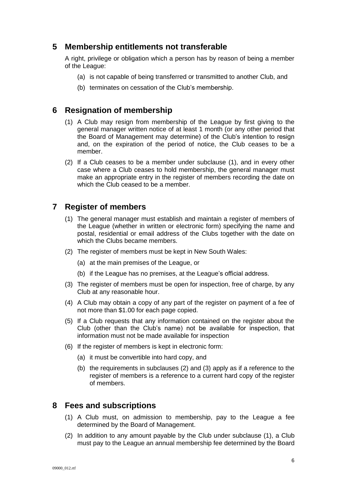### <span id="page-5-0"></span>**5 Membership entitlements not transferable**

A right, privilege or obligation which a person has by reason of being a member of the League:

- (a) is not capable of being transferred or transmitted to another Club, and
- (b) terminates on cessation of the Club's membership.

### <span id="page-5-1"></span>**6 Resignation of membership**

- (1) A Club may resign from membership of the League by first giving to the general manager written notice of at least 1 month (or any other period that the Board of Management may determine) of the Club's intention to resign and, on the expiration of the period of notice, the Club ceases to be a member.
- (2) If a Club ceases to be a member under subclause (1), and in every other case where a Club ceases to hold membership, the general manager must make an appropriate entry in the register of members recording the date on which the Club ceased to be a member.

# <span id="page-5-2"></span>**7 Register of members**

- (1) The general manager must establish and maintain a register of members of the League (whether in written or electronic form) specifying the name and postal, residential or email address of the Clubs together with the date on which the Clubs became members.
- (2) The register of members must be kept in New South Wales:
	- (a) at the main premises of the League, or
	- (b) if the League has no premises, at the League's official address.
- (3) The register of members must be open for inspection, free of charge, by any Club at any reasonable hour.
- (4) A Club may obtain a copy of any part of the register on payment of a fee of not more than \$1.00 for each page copied.
- (5) If a Club requests that any information contained on the register about the Club (other than the Club's name) not be available for inspection, that information must not be made available for inspection
- (6) If the register of members is kept in electronic form:
	- (a) it must be convertible into hard copy, and
	- (b) the requirements in subclauses (2) and (3) apply as if a reference to the register of members is a reference to a current hard copy of the register of members.

### <span id="page-5-3"></span>**8 Fees and subscriptions**

- (1) A Club must, on admission to membership, pay to the League a fee determined by the Board of Management.
- (2) In addition to any amount payable by the Club under subclause (1), a Club must pay to the League an annual membership fee determined by the Board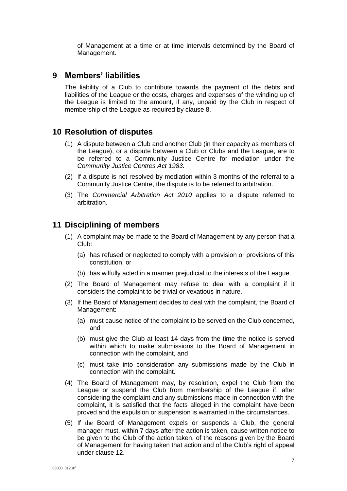of Management at a time or at time intervals determined by the Board of Management.

### <span id="page-6-0"></span>**9 Members' liabilities**

The liability of a Club to contribute towards the payment of the debts and liabilities of the League or the costs, charges and expenses of the winding up of the League is limited to the amount, if any, unpaid by the Club in respect of membership of the League as required by clause 8.

### <span id="page-6-1"></span>**10 Resolution of disputes**

- (1) A dispute between a Club and another Club (in their capacity as members of the League), or a dispute between a Club or Clubs and the League, are to be referred to a Community Justice Centre for mediation under the *Community Justice Centres Act 1983*.
- (2) If a dispute is not resolved by mediation within 3 months of the referral to a Community Justice Centre, the dispute is to be referred to arbitration.
- (3) The *Commercial Arbitration Act 2010* applies to a dispute referred to arbitration.

### <span id="page-6-2"></span>**11 Disciplining of members**

- (1) A complaint may be made to the Board of Management by any person that a Club:
	- (a) has refused or neglected to comply with a provision or provisions of this constitution, or
	- (b) has wilfully acted in a manner prejudicial to the interests of the League.
- (2) The Board of Management may refuse to deal with a complaint if it considers the complaint to be trivial or vexatious in nature.
- (3) If the Board of Management decides to deal with the complaint, the Board of Management:
	- (a) must cause notice of the complaint to be served on the Club concerned, and
	- (b) must give the Club at least 14 days from the time the notice is served within which to make submissions to the Board of Management in connection with the complaint, and
	- (c) must take into consideration any submissions made by the Club in connection with the complaint.
- (4) The Board of Management may, by resolution, expel the Club from the League or suspend the Club from membership of the League if, after considering the complaint and any submissions made in connection with the complaint, it is satisfied that the facts alleged in the complaint have been proved and the expulsion or suspension is warranted in the circumstances.
- (5) If the Board of Management expels or suspends a Club, the general manager must, within 7 days after the action is taken, cause written notice to be given to the Club of the action taken, of the reasons given by the Board of Management for having taken that action and of the Club's right of appeal under clause 12.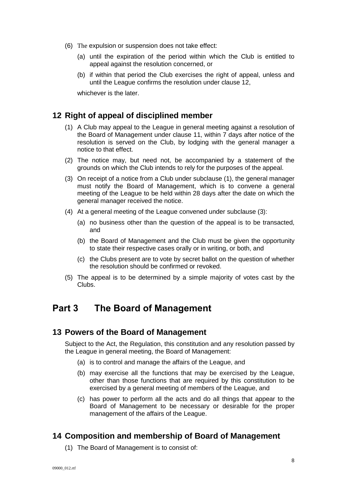- (6) The expulsion or suspension does not take effect:
	- (a) until the expiration of the period within which the Club is entitled to appeal against the resolution concerned, or
	- (b) if within that period the Club exercises the right of appeal, unless and until the League confirms the resolution under clause 12,

whichever is the later.

# <span id="page-7-0"></span>**12 Right of appeal of disciplined member**

- (1) A Club may appeal to the League in general meeting against a resolution of the Board of Management under clause 11, within 7 days after notice of the resolution is served on the Club, by lodging with the general manager a notice to that effect.
- (2) The notice may, but need not, be accompanied by a statement of the grounds on which the Club intends to rely for the purposes of the appeal.
- (3) On receipt of a notice from a Club under subclause (1), the general manager must notify the Board of Management, which is to convene a general meeting of the League to be held within 28 days after the date on which the general manager received the notice.
- (4) At a general meeting of the League convened under subclause (3):
	- (a) no business other than the question of the appeal is to be transacted, and
	- (b) the Board of Management and the Club must be given the opportunity to state their respective cases orally or in writing, or both, and
	- (c) the Clubs present are to vote by secret ballot on the question of whether the resolution should be confirmed or revoked.
- (5) The appeal is to be determined by a simple majority of votes cast by the Clubs.

# <span id="page-7-1"></span>**Part 3 The Board of Management**

### <span id="page-7-2"></span>**13 Powers of the Board of Management**

Subject to the Act, the Regulation, this constitution and any resolution passed by the League in general meeting, the Board of Management:

- (a) is to control and manage the affairs of the League, and
- (b) may exercise all the functions that may be exercised by the League, other than those functions that are required by this constitution to be exercised by a general meeting of members of the League, and
- (c) has power to perform all the acts and do all things that appear to the Board of Management to be necessary or desirable for the proper management of the affairs of the League.

### <span id="page-7-3"></span>**14 Composition and membership of Board of Management**

(1) The Board of Management is to consist of: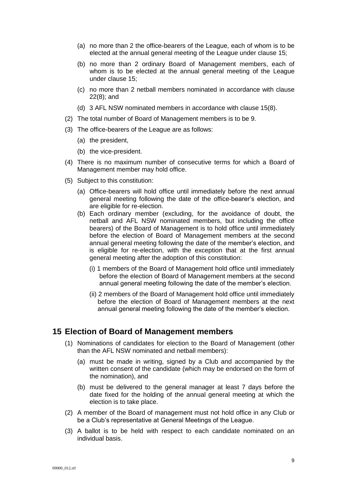- (a) no more than 2 the office-bearers of the League, each of whom is to be elected at the annual general meeting of the League under clause 15;
- (b) no more than 2 ordinary Board of Management members, each of whom is to be elected at the annual general meeting of the League under clause 15;
- (c) no more than 2 netball members nominated in accordance with clause 22(8); and
- (d) 3 AFL NSW nominated members in accordance with clause 15(8).
- (2) The total number of Board of Management members is to be 9.
- (3) The office-bearers of the League are as follows:
	- (a) the president,
	- (b) the vice-president.
- (4) There is no maximum number of consecutive terms for which a Board of Management member may hold office.
- (5) Subject to this constitution:
	- (a) Office-bearers will hold office until immediately before the next annual general meeting following the date of the office-bearer's election, and are eligible for re-election.
	- (b) Each ordinary member (excluding, for the avoidance of doubt, the netball and AFL NSW nominated members, but including the office bearers) of the Board of Management is to hold office until immediately before the election of Board of Management members at the second annual general meeting following the date of the member's election, and is eligible for re-election, with the exception that at the first annual general meeting after the adoption of this constitution:
		- (i) 1 members of the Board of Management hold office until immediately before the election of Board of Management members at the second annual general meeting following the date of the member's election.
		- (ii) 2 members of the Board of Management hold office until immediately before the election of Board of Management members at the next annual general meeting following the date of the member's election.

#### <span id="page-8-0"></span>**15 Election of Board of Management members**

- (1) Nominations of candidates for election to the Board of Management (other than the AFL NSW nominated and netball members):
	- (a) must be made in writing, signed by a Club and accompanied by the written consent of the candidate (which may be endorsed on the form of the nomination), and
	- (b) must be delivered to the general manager at least 7 days before the date fixed for the holding of the annual general meeting at which the election is to take place.
- (2) A member of the Board of management must not hold office in any Club or be a Club's representative at General Meetings of the League.
- (3) A ballot is to be held with respect to each candidate nominated on an individual basis.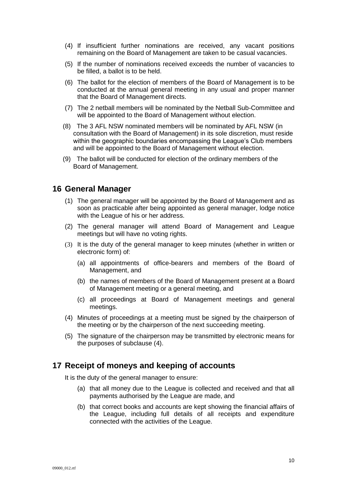- (4) If insufficient further nominations are received, any vacant positions remaining on the Board of Management are taken to be casual vacancies.
- (5) If the number of nominations received exceeds the number of vacancies to be filled, a ballot is to be held.
- (6) The ballot for the election of members of the Board of Management is to be conducted at the annual general meeting in any usual and proper manner that the Board of Management directs.
- (7) The 2 netball members will be nominated by the Netball Sub-Committee and will be appointed to the Board of Management without election.
- (8) The 3 AFL NSW nominated members will be nominated by AFL NSW (in consultation with the Board of Management) in its sole discretion, must reside within the geographic boundaries encompassing the League's Club members and will be appointed to the Board of Management without election.
- (9) The ballot will be conducted for election of the ordinary members of the Board of Management.

### <span id="page-9-0"></span>**16 General Manager**

- (1) The general manager will be appointed by the Board of Management and as soon as practicable after being appointed as general manager, lodge notice with the League of his or her address.
- (2) The general manager will attend Board of Management and League meetings but will have no voting rights.
- (3) It is the duty of the general manager to keep minutes (whether in written or electronic form) of:
	- (a) all appointments of office-bearers and members of the Board of Management, and
	- (b) the names of members of the Board of Management present at a Board of Management meeting or a general meeting, and
	- (c) all proceedings at Board of Management meetings and general meetings.
- (4) Minutes of proceedings at a meeting must be signed by the chairperson of the meeting or by the chairperson of the next succeeding meeting.
- (5) The signature of the chairperson may be transmitted by electronic means for the purposes of subclause (4).

### <span id="page-9-1"></span>**17 Receipt of moneys and keeping of accounts**

It is the duty of the general manager to ensure:

- (a) that all money due to the League is collected and received and that all payments authorised by the League are made, and
- <span id="page-9-2"></span>(b) that correct books and accounts are kept showing the financial affairs of the League, including full details of all receipts and expenditure connected with the activities of the League.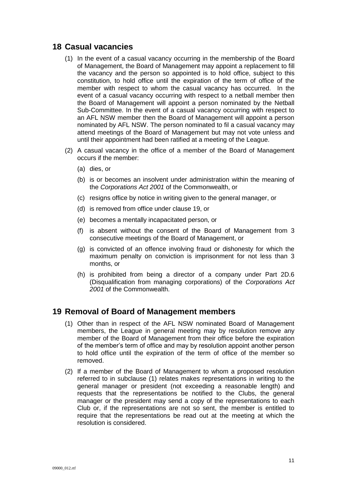# **18 Casual vacancies**

- (1) In the event of a casual vacancy occurring in the membership of the Board of Management, the Board of Management may appoint a replacement to fill the vacancy and the person so appointed is to hold office, subject to this constitution, to hold office until the expiration of the term of office of the member with respect to whom the casual vacancy has occurred. In the event of a casual vacancy occurring with respect to a netball member then the Board of Management will appoint a person nominated by the Netball Sub-Committee. In the event of a casual vacancy occurring with respect to an AFL NSW member then the Board of Management will appoint a person nominated by AFL NSW. The person nominated to fil a casual vacancy may attend meetings of the Board of Management but may not vote unless and until their appointment had been ratified at a meeting of the League.
- (2) A casual vacancy in the office of a member of the Board of Management occurs if the member:
	- (a) dies, or
	- (b) is or becomes an insolvent under administration within the meaning of the *[Corporations Act 2001](http://www.comlaw.gov.au/)* of the Commonwealth, or
	- (c) resigns office by notice in writing given to the general manager, or
	- (d) is removed from office under clause 19, or
	- (e) becomes a mentally incapacitated person, or
	- (f) is absent without the consent of the Board of Management from 3 consecutive meetings of the Board of Management, or
	- (g) is convicted of an offence involving fraud or dishonesty for which the maximum penalty on conviction is imprisonment for not less than 3 months, or
	- (h) is prohibited from being a director of a company under Part 2D.6 (Disqualification from managing corporations) of the *[Corporations Act](http://www.comlaw.gov.au/)  [2001](http://www.comlaw.gov.au/)* of the Commonwealth.

### <span id="page-10-0"></span>**19 Removal of Board of Management members**

- (1) Other than in respect of the AFL NSW nominated Board of Management members, the League in general meeting may by resolution remove any member of the Board of Management from their office before the expiration of the member's term of office and may by resolution appoint another person to hold office until the expiration of the term of office of the member so removed.
- (2) If a member of the Board of Management to whom a proposed resolution referred to in subclause (1) relates makes representations in writing to the general manager or president (not exceeding a reasonable length) and requests that the representations be notified to the Clubs, the general manager or the president may send a copy of the representations to each Club or, if the representations are not so sent, the member is entitled to require that the representations be read out at the meeting at which the resolution is considered.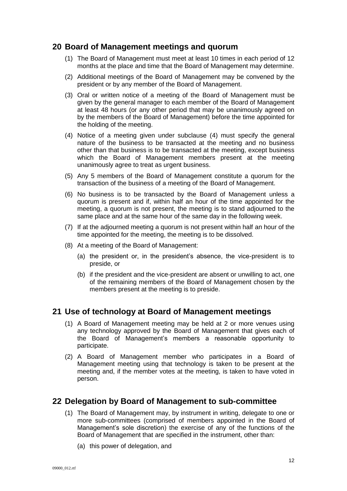### <span id="page-11-0"></span>**20 Board of Management meetings and quorum**

- (1) The Board of Management must meet at least 10 times in each period of 12 months at the place and time that the Board of Management may determine.
- (2) Additional meetings of the Board of Management may be convened by the president or by any member of the Board of Management.
- (3) Oral or written notice of a meeting of the Board of Management must be given by the general manager to each member of the Board of Management at least 48 hours (or any other period that may be unanimously agreed on by the members of the Board of Management) before the time appointed for the holding of the meeting.
- (4) Notice of a meeting given under subclause (4) must specify the general nature of the business to be transacted at the meeting and no business other than that business is to be transacted at the meeting, except business which the Board of Management members present at the meeting unanimously agree to treat as urgent business.
- (5) Any 5 members of the Board of Management constitute a quorum for the transaction of the business of a meeting of the Board of Management.
- (6) No business is to be transacted by the Board of Management unless a quorum is present and if, within half an hour of the time appointed for the meeting, a quorum is not present, the meeting is to stand adjourned to the same place and at the same hour of the same day in the following week.
- (7) If at the adjourned meeting a quorum is not present within half an hour of the time appointed for the meeting, the meeting is to be dissolved.
- (8) At a meeting of the Board of Management:
	- (a) the president or, in the president's absence, the vice-president is to preside, or
	- (b) if the president and the vice-president are absent or unwilling to act, one of the remaining members of the Board of Management chosen by the members present at the meeting is to preside.

### **21 Use of technology at Board of Management meetings**

- (1) A Board of Management meeting may be held at 2 or more venues using any technology approved by the Board of Management that gives each of the Board of Management's members a reasonable opportunity to participate.
- (2) A Board of Management member who participates in a Board of Management meeting using that technology is taken to be present at the meeting and, if the member votes at the meeting, is taken to have voted in person.

### <span id="page-11-1"></span>**22 Delegation by Board of Management to sub-committee**

- (1) The Board of Management may, by instrument in writing, delegate to one or more sub-committees (comprised of members appointed in the Board of Management's sole discretion) the exercise of any of the functions of the Board of Management that are specified in the instrument, other than:
	- (a) this power of delegation, and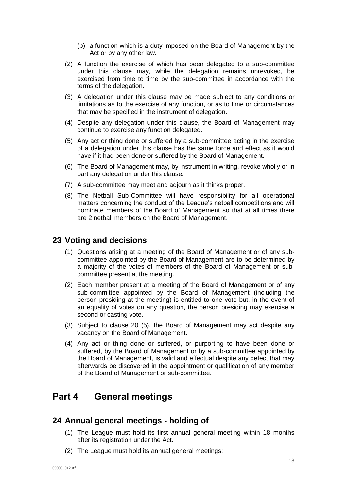- (b) a function which is a duty imposed on the Board of Management by the Act or by any other law.
- (2) A function the exercise of which has been delegated to a sub-committee under this clause may, while the delegation remains unrevoked, be exercised from time to time by the sub-committee in accordance with the terms of the delegation.
- (3) A delegation under this clause may be made subject to any conditions or limitations as to the exercise of any function, or as to time or circumstances that may be specified in the instrument of delegation.
- (4) Despite any delegation under this clause, the Board of Management may continue to exercise any function delegated.
- (5) Any act or thing done or suffered by a sub-committee acting in the exercise of a delegation under this clause has the same force and effect as it would have if it had been done or suffered by the Board of Management.
- (6) The Board of Management may, by instrument in writing, revoke wholly or in part any delegation under this clause.
- (7) A sub-committee may meet and adjourn as it thinks proper.
- (8) The Netball Sub-Committee will have responsibility for all operational matters concerning the conduct of the League's netball competitions and will nominate members of the Board of Management so that at all times there are 2 netball members on the Board of Management.

### <span id="page-12-0"></span>**23 Voting and decisions**

- (1) Questions arising at a meeting of the Board of Management or of any subcommittee appointed by the Board of Management are to be determined by a majority of the votes of members of the Board of Management or subcommittee present at the meeting.
- (2) Each member present at a meeting of the Board of Management or of any sub-committee appointed by the Board of Management (including the person presiding at the meeting) is entitled to one vote but, in the event of an equality of votes on any question, the person presiding may exercise a second or casting vote.
- (3) Subject to clause 20 (5), the Board of Management may act despite any vacancy on the Board of Management.
- (4) Any act or thing done or suffered, or purporting to have been done or suffered, by the Board of Management or by a sub-committee appointed by the Board of Management, is valid and effectual despite any defect that may afterwards be discovered in the appointment or qualification of any member of the Board of Management or sub-committee.

# <span id="page-12-1"></span>**Part 4 General meetings**

# <span id="page-12-2"></span>**24 Annual general meetings - holding of**

- (1) The League must hold its first annual general meeting within 18 months after its registration under the Act.
- (2) The League must hold its annual general meetings: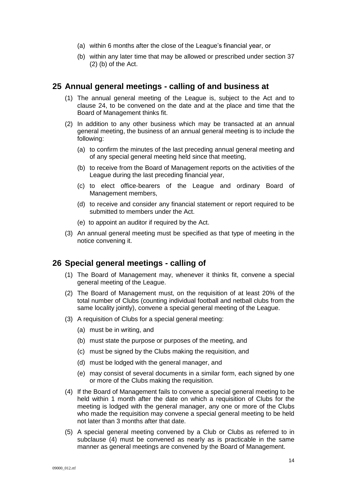- (a) within 6 months after the close of the League's financial year, or
- (b) within any later time that may be allowed or prescribed under section 37 (2) (b) of the Act.

### <span id="page-13-0"></span>**25 Annual general meetings - calling of and business at**

- (1) The annual general meeting of the League is, subject to the Act and to clause 24, to be convened on the date and at the place and time that the Board of Management thinks fit.
- (2) In addition to any other business which may be transacted at an annual general meeting, the business of an annual general meeting is to include the following:
	- (a) to confirm the minutes of the last preceding annual general meeting and of any special general meeting held since that meeting,
	- (b) to receive from the Board of Management reports on the activities of the League during the last preceding financial year,
	- (c) to elect office-bearers of the League and ordinary Board of Management members,
	- (d) to receive and consider any financial statement or report required to be submitted to members under the Act.
	- (e) to appoint an auditor if required by the Act.
- (3) An annual general meeting must be specified as that type of meeting in the notice convening it.

### <span id="page-13-1"></span>**26 Special general meetings - calling of**

- (1) The Board of Management may, whenever it thinks fit, convene a special general meeting of the League.
- (2) The Board of Management must, on the requisition of at least 20% of the total number of Clubs (counting individual football and netball clubs from the same locality jointly), convene a special general meeting of the League.
- (3) A requisition of Clubs for a special general meeting:
	- (a) must be in writing, and
	- (b) must state the purpose or purposes of the meeting, and
	- (c) must be signed by the Clubs making the requisition, and
	- (d) must be lodged with the general manager, and
	- (e) may consist of several documents in a similar form, each signed by one or more of the Clubs making the requisition.
- (4) If the Board of Management fails to convene a special general meeting to be held within 1 month after the date on which a requisition of Clubs for the meeting is lodged with the general manager, any one or more of the Clubs who made the requisition may convene a special general meeting to be held not later than 3 months after that date.
- (5) A special general meeting convened by a Club or Clubs as referred to in subclause (4) must be convened as nearly as is practicable in the same manner as general meetings are convened by the Board of Management.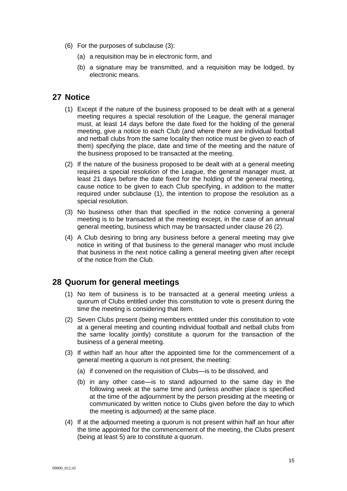- (6) For the purposes of subclause (3):
	- (a) a requisition may be in electronic form, and
	- (b) a signature may be transmitted, and a requisition may be lodged, by electronic means.

# <span id="page-14-0"></span>**27 Notice**

- (1) Except if the nature of the business proposed to be dealt with at a general meeting requires a special resolution of the League, the general manager must, at least 14 days before the date fixed for the holding of the general meeting, give a notice to each Club (and where there are individual football and netball clubs from the same locality then notice must be given to each of them) specifying the place, date and time of the meeting and the nature of the business proposed to be transacted at the meeting.
- (2) If the nature of the business proposed to be dealt with at a general meeting requires a special resolution of the League, the general manager must, at least 21 days before the date fixed for the holding of the general meeting, cause notice to be given to each Club specifying, in addition to the matter required under subclause (1), the intention to propose the resolution as a special resolution.
- (3) No business other than that specified in the notice convening a general meeting is to be transacted at the meeting except, in the case of an annual general meeting, business which may be transacted under clause 26 (2).
- (4) A Club desiring to bring any business before a general meeting may give notice in writing of that business to the general manager who must include that business in the next notice calling a general meeting given after receipt of the notice from the Club.

### <span id="page-14-1"></span>**28 Quorum for general meetings**

- (1) No item of business is to be transacted at a general meeting unless a quorum of Clubs entitled under this constitution to vote is present during the time the meeting is considering that item.
- (2) Seven Clubs present (being members entitled under this constitution to vote at a general meeting and counting individual football and netball clubs from the same locality jointly) constitute a quorum for the transaction of the business of a general meeting.
- (3) If within half an hour after the appointed time for the commencement of a general meeting a quorum is not present, the meeting:
	- (a) if convened on the requisition of Clubs—is to be dissolved, and
	- (b) in any other case—is to stand adjourned to the same day in the following week at the same time and (unless another place is specified at the time of the adjournment by the person presiding at the meeting or communicated by written notice to Clubs given before the day to which the meeting is adjourned) at the same place.
- (4) If at the adjourned meeting a quorum is not present within half an hour after the time appointed for the commencement of the meeting, the Clubs present (being at least 5) are to constitute a quorum.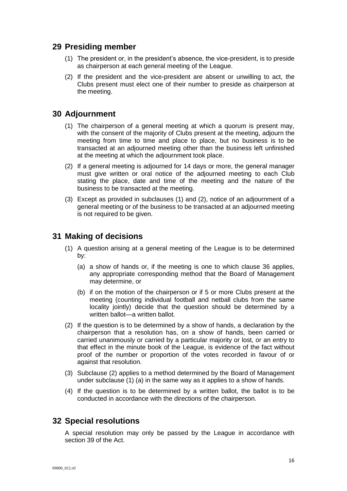# <span id="page-15-0"></span>**29 Presiding member**

- (1) The president or, in the president's absence, the vice-president, is to preside as chairperson at each general meeting of the League.
- (2) If the president and the vice-president are absent or unwilling to act, the Clubs present must elect one of their number to preside as chairperson at the meeting.

# <span id="page-15-1"></span>**30 Adjournment**

- (1) The chairperson of a general meeting at which a quorum is present may, with the consent of the majority of Clubs present at the meeting, adjourn the meeting from time to time and place to place, but no business is to be transacted at an adjourned meeting other than the business left unfinished at the meeting at which the adjournment took place.
- (2) If a general meeting is adjourned for 14 days or more, the general manager must give written or oral notice of the adjourned meeting to each Club stating the place, date and time of the meeting and the nature of the business to be transacted at the meeting.
- (3) Except as provided in subclauses (1) and (2), notice of an adjournment of a general meeting or of the business to be transacted at an adjourned meeting is not required to be given.

# <span id="page-15-2"></span>**31 Making of decisions**

- (1) A question arising at a general meeting of the League is to be determined by:
	- (a) a show of hands or, if the meeting is one to which clause 36 applies, any appropriate corresponding method that the Board of Management may determine, or
	- (b) if on the motion of the chairperson or if 5 or more Clubs present at the meeting (counting individual football and netball clubs from the same locality jointly) decide that the question should be determined by a written ballot—a written ballot.
- (2) If the question is to be determined by a show of hands, a declaration by the chairperson that a resolution has, on a show of hands, been carried or carried unanimously or carried by a particular majority or lost, or an entry to that effect in the minute book of the League, is evidence of the fact without proof of the number or proportion of the votes recorded in favour of or against that resolution.
- (3) Subclause (2) applies to a method determined by the Board of Management under subclause (1) (a) in the same way as it applies to a show of hands.
- (4) If the question is to be determined by a written ballot, the ballot is to be conducted in accordance with the directions of the chairperson.

# <span id="page-15-3"></span>**32 Special resolutions**

A special resolution may only be passed by the League in accordance with section 39 of the Act.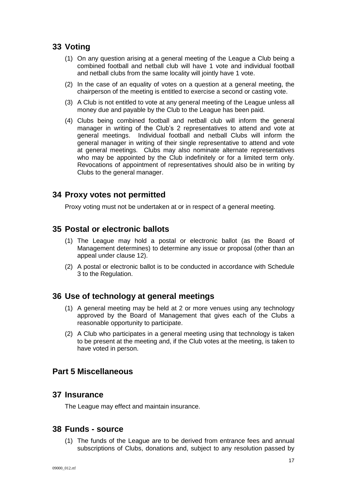# <span id="page-16-0"></span>**33 Voting**

- (1) On any question arising at a general meeting of the League a Club being a combined football and netball club will have 1 vote and individual football and netball clubs from the same locality will jointly have 1 vote.
- (2) In the case of an equality of votes on a question at a general meeting, the chairperson of the meeting is entitled to exercise a second or casting vote.
- (3) A Club is not entitled to vote at any general meeting of the League unless all money due and payable by the Club to the League has been paid.
- (4) Clubs being combined football and netball club will inform the general manager in writing of the Club's 2 representatives to attend and vote at general meetings. Individual football and netball Clubs will inform the general manager in writing of their single representative to attend and vote at general meetings. Clubs may also nominate alternate representatives who may be appointed by the Club indefinitely or for a limited term only. Revocations of appointment of representatives should also be in writing by Clubs to the general manager.

### <span id="page-16-1"></span>**34 Proxy votes not permitted**

Proxy voting must not be undertaken at or in respect of a general meeting.

### <span id="page-16-2"></span>**35 Postal or electronic ballots**

- (1) The League may hold a postal or electronic ballot (as the Board of Management determines) to determine any issue or proposal (other than an appeal under clause 12).
- (2) A postal or electronic ballot is to be conducted in accordance with Schedule 3 to the Regulation.

### <span id="page-16-3"></span>**36 Use of technology at general meetings**

- (1) A general meeting may be held at 2 or more venues using any technology approved by the Board of Management that gives each of the Clubs a reasonable opportunity to participate.
- (2) A Club who participates in a general meeting using that technology is taken to be present at the meeting and, if the Club votes at the meeting, is taken to have voted in person.

### <span id="page-16-5"></span><span id="page-16-4"></span>**Part 5 Miscellaneous**

### **37 Insurance**

The League may effect and maintain insurance.

### <span id="page-16-6"></span>**38 Funds - source**

(1) The funds of the League are to be derived from entrance fees and annual subscriptions of Clubs, donations and, subject to any resolution passed by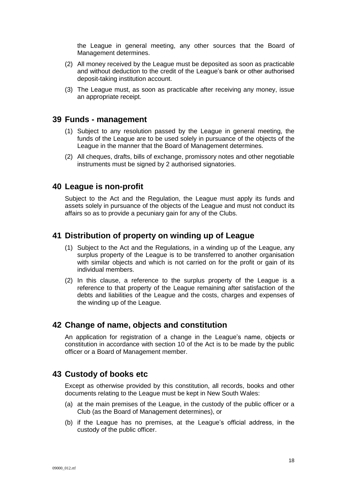the League in general meeting, any other sources that the Board of Management determines.

- (2) All money received by the League must be deposited as soon as practicable and without deduction to the credit of the League's bank or other authorised deposit-taking institution account.
- (3) The League must, as soon as practicable after receiving any money, issue an appropriate receipt.

### <span id="page-17-0"></span>**39 Funds - management**

- (1) Subject to any resolution passed by the League in general meeting, the funds of the League are to be used solely in pursuance of the objects of the League in the manner that the Board of Management determines.
- (2) All cheques, drafts, bills of exchange, promissory notes and other negotiable instruments must be signed by 2 authorised signatories.

#### <span id="page-17-1"></span>**40 League is non-profit**

Subject to the Act and the Regulation, the League must apply its funds and assets solely in pursuance of the objects of the League and must not conduct its affairs so as to provide a pecuniary gain for any of the Clubs.

### <span id="page-17-2"></span>**41 Distribution of property on winding up of League**

- (1) Subject to the Act and the Regulations, in a winding up of the League, any surplus property of the League is to be transferred to another organisation with similar objects and which is not carried on for the profit or gain of its individual members.
- (2) In this clause, a reference to the surplus property of the League is a reference to that property of the League remaining after satisfaction of the debts and liabilities of the League and the costs, charges and expenses of the winding up of the League.

### <span id="page-17-3"></span>**42 Change of name, objects and constitution**

An application for registration of a change in the League's name, objects or constitution in accordance with section 10 of the Act is to be made by the public officer or a Board of Management member.

### <span id="page-17-4"></span>**43 Custody of books etc**

Except as otherwise provided by this constitution, all records, books and other documents relating to the League must be kept in New South Wales:

- (a) at the main premises of the League, in the custody of the public officer or a Club (as the Board of Management determines), or
- (b) if the League has no premises, at the League's official address, in the custody of the public officer.